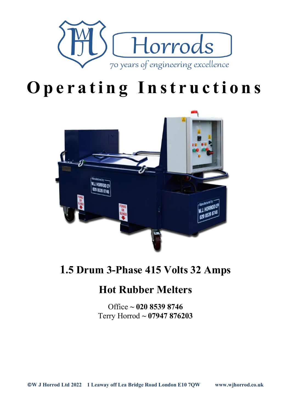

# **Operating Instructions**



# **1.5 Drum 3-Phase 415 Volts 32 Amps**

# **Hot Rubber Melters**

Office **~ 020 8539 8746** Terry Horrod **~ 07947 876203**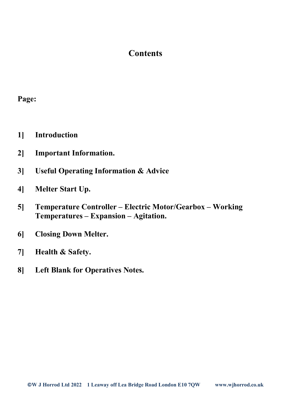## **Contents**

#### **Page:**

- **1] Introduction**
- **2] Important Information.**
- **3] Useful Operating Information & Advice**
- **4] Melter Start Up.**
- **5] Temperature Controller – Electric Motor/Gearbox – Working Temperatures – Expansion – Agitation.**
- **6] Closing Down Melter.**
- **7] Health & Safety.**
- **8] Left Blank for Operatives Notes.**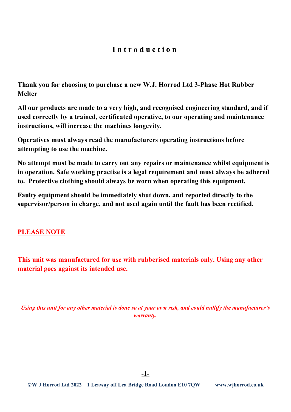#### **Introduction**

**Thank you for choosing to purchase a new W.J. Horrod Ltd 3-Phase Hot Rubber Melter**

**All our products are made to a very high, and recognised engineering standard, and if used correctly by a trained, certificated operative, to our operating and maintenance instructions, will increase the machines longevity.** 

**Operatives must always read the manufacturers operating instructions before attempting to use the machine.** 

**No attempt must be made to carry out any repairs or maintenance whilst equipment is in operation. Safe working practise is a legal requirement and must always be adhered to. Protective clothing should always be worn when operating this equipment.** 

**Faulty equipment should be immediately shut down, and reported directly to the supervisor/person in charge, and not used again until the fault has been rectified.**

#### **PLEASE NOTE**

**This unit was manufactured for use with rubberised materials only. Using any other material goes against its intended use.**

*Using this unit for any other material is done so at your own risk, and could nullify the manufacturer's warranty.*

**-1-**

**©W J Horrod Ltd 2022 1 Leaway off Lea Bridge Road London E10 7QW www.wjhorrod.co.uk**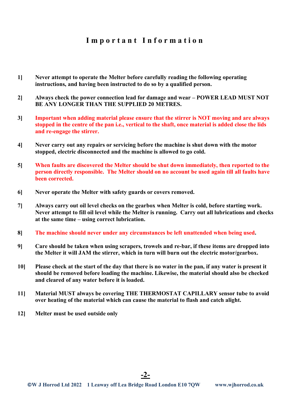#### **Important Information**

- **1] Never attempt to operate the Melter before carefully reading the following operating instructions, and having been instructed to do so by a qualified person.**
- **2] Always check the power connection lead for damage and wear – POWER LEAD MUST NOT BE ANY LONGER THAN THE SUPPLIED 20 METRES.**
- **3] Important when adding material please ensure that the stirrer is NOT moving and are always stopped in the centre of the pan i.e., vertical to the shaft, once material is added close the lids and re-engage the stirrer.**
- **4] Never carry out any repairs or servicing before the machine is shut down with the motor stopped, electric disconnected and the machine is allowed to go cold.**
- **5] When faults are discovered the Melter should be shut down immediately, then reported to the person directly responsible. The Melter should on no account be used again till all faults have been corrected.**
- **6] Never operate the Melter with safety guards or covers removed.**
- **7] Always carry out oil level checks on the gearbox when Melter is cold, before starting work. Never attempt to fill oil level while the Melter is running. Carry out all lubrications and checks at the same time – using correct lubrication.**
- **8] The machine should never under any circumstances be left unattended when being used.**
- **9] Care should be taken when using scrapers, trowels and re-bar, if these items are dropped into the Melter it will JAM the stirrer, which in turn will burn out the electric motor/gearbox.**
- **10] Please check at the start of the day that there is no water in the pan, if any water is present it should be removed before loading the machine. Likewise, the material should also be checked and cleared of any water before it is loaded.**
- **11] Material MUST always be covering THE THERMOSTAT CAPILLARY sensor tube to avoid over heating of the material which can cause the material to flash and catch alight.**
- **12] Melter must be used outside only**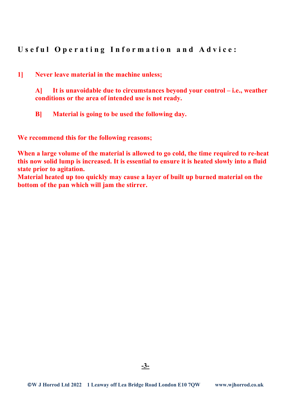**Useful Operating Information and Advice:**

**1] Never leave material in the machine unless;**

**A] It is unavoidable due to circumstances beyond your control – i.e., weather conditions or the area of intended use is not ready.**

**B] Material is going to be used the following day.**

**We recommend this for the following reasons;**

**When a large volume of the material is allowed to go cold, the time required to re-heat this now solid lump is increased. It is essential to ensure it is heated slowly into a fluid state prior to agitation.**

**Material heated up too quickly may cause a layer of built up burned material on the bottom of the pan which will jam the stirrer.**

**-3-**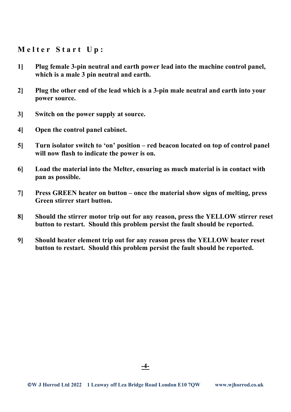#### **Melter Start Up:**

- **1] Plug female 3-pin neutral and earth power lead into the machine control panel, which is a male 3 pin neutral and earth.**
- **2] Plug the other end of the lead which is a 3-pin male neutral and earth into your power source.**
- **3] Switch on the power supply at source.**
- **4] Open the control panel cabinet.**
- **5] Turn isolator switch to 'on' position – red beacon located on top of control panel will now flash to indicate the power is on.**
- **6] Load the material into the Melter, ensuring as much material is in contact with pan as possible.**
- **7] Press GREEN heater on button – once the material show signs of melting, press Green stirrer start button.**
- **8] Should the stirrer motor trip out for any reason, press the YELLOW stirrer reset button to restart. Should this problem persist the fault should be reported.**
- **9] Should heater element trip out for any reason press the YELLOW heater reset button to restart. Should this problem persist the fault should be reported.**

**-4-**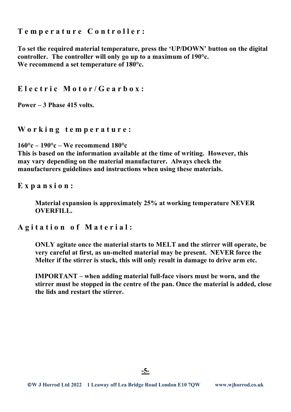**Temperature Controller:**

**To set the required material temperature, press the 'UP/DOWN' button on the digital controller. The controller will only go up to a maximum of 190°c. We recommend a set temperature of 180°c.**

**Electric Motor/Gearbox:**

**Power – 3 Phase 415 volts.**

**Working temperature :**

**160°c – 190°c – We recommend 180°c This is based on the information available at the time of writing. However, this may vary depending on the material manufacturer. Always check the manufacturers guidelines and instructions when using these materials.**

**Expansion:**

**Material expansion is approximately 25% at working temperature NEVER OVERFILL.**

**Agitation of Material:**

**ONLY agitate once the material starts to MELT and the stirrer will operate, be very careful at first, as un-melted material may be present. NEVER force the Melter if the stirrer is stuck, this will only result in damage to drive arm etc.**

**IMPORTANT – when adding material full-face visors must be worn, and the stirrer must be stopped in the centre of the pan. Once the material is added, close the lids and restart the stirrer.**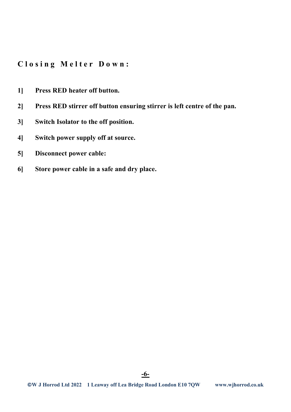**Closing Melter Down:**

- **1] Press RED heater off button.**
- **2] Press RED stirrer off button ensuring stirrer is left centre of the pan.**
- **3] Switch Isolator to the off position.**
- **4] Switch power supply off at source.**
- **5] Disconnect power cable:**
- **6] Store power cable in a safe and dry place.**

**-6-**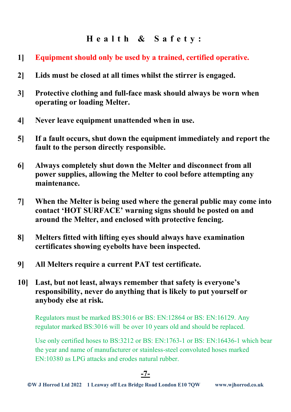## **Health & Safety:**

- **1] Equipment should only be used by a trained, certified operative.**
- **2] Lids must be closed at all times whilst the stirrer is engaged.**
- **3] Protective clothing and full-face mask should always be worn when operating or loading Melter.**
- **4] Never leave equipment unattended when in use.**
- **5] If a fault occurs, shut down the equipment immediately and report the fault to the person directly responsible.**
- **6] Always completely shut down the Melter and disconnect from all power supplies, allowing the Melter to cool before attempting any maintenance.**
- **7] When the Melter is being used where the general public may come into contact 'HOT SURFACE' warning signs should be posted on and around the Melter, and enclosed with protective fencing.**
- **8] Melters fitted with lifting eyes should always have examination certificates showing eyebolts have been inspected.**
- **9] All Melters require a current PAT test certificate.**
- **10] Last, but not least, always remember that safety is everyone's responsibility, never do anything that is likely to put yourself or anybody else at risk.**

Regulators must be marked BS:3016 or BS: EN:12864 or BS: EN:16129. Any regulator marked BS:3016 will be over 10 years old and should be replaced.

Use only certified hoses to BS:3212 or BS: EN:1763-1 or BS: EN:16436-1 which bear the year and name of manufacturer or stainless-steel convoluted hoses marked EN:10380 as LPG attacks and erodes natural rubber.

**-7-**